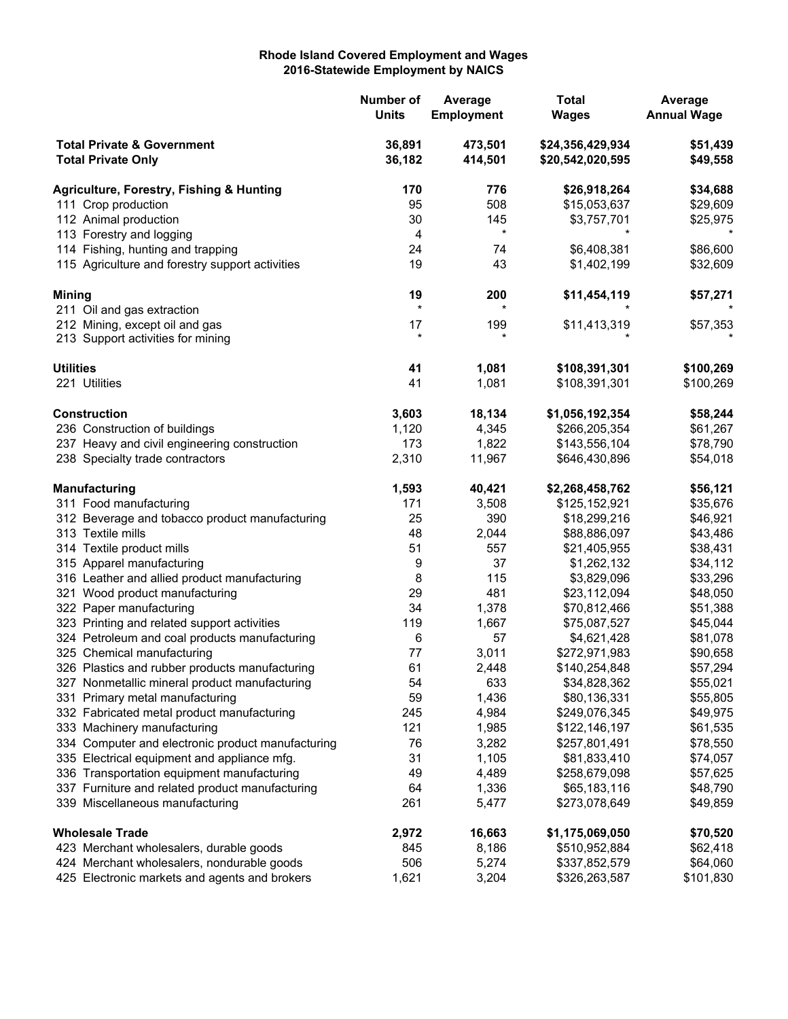## **Rhode Island Covered Employment and Wages 2016-Statewide Employment by NAICS**

|                                                                                             | Number of<br><b>Units</b> | Average<br><b>Employment</b> | <b>Total</b><br><b>Wages</b>         | Average<br><b>Annual Wage</b> |
|---------------------------------------------------------------------------------------------|---------------------------|------------------------------|--------------------------------------|-------------------------------|
| <b>Total Private &amp; Government</b><br><b>Total Private Only</b>                          | 36,891<br>36,182          | 473,501<br>414,501           | \$24,356,429,934<br>\$20,542,020,595 | \$51,439<br>\$49,558          |
| Agriculture, Forestry, Fishing & Hunting                                                    | 170                       | 776                          | \$26,918,264                         | \$34,688                      |
| 111 Crop production                                                                         | 95                        | 508                          | \$15,053,637                         | \$29,609                      |
| 112 Animal production                                                                       | 30                        | 145                          | \$3,757,701                          | \$25,975                      |
| 113 Forestry and logging                                                                    | 4                         | $\ast$                       |                                      |                               |
| 114 Fishing, hunting and trapping                                                           | 24                        | 74                           | \$6,408,381                          | \$86,600                      |
| 115 Agriculture and forestry support activities                                             | 19                        | 43                           | \$1,402,199                          | \$32,609                      |
| <b>Mining</b>                                                                               | 19                        | 200                          | \$11,454,119                         | \$57,271                      |
| 211 Oil and gas extraction                                                                  | $\star$                   | $\star$                      |                                      |                               |
| 212 Mining, except oil and gas                                                              | 17                        | 199                          | \$11,413,319                         | \$57,353                      |
| 213 Support activities for mining                                                           | $^\star$                  |                              |                                      |                               |
| <b>Utilities</b>                                                                            | 41                        | 1,081                        | \$108,391,301                        | \$100,269                     |
| 221 Utilities                                                                               | 41                        | 1,081                        | \$108,391,301                        | \$100,269                     |
| <b>Construction</b>                                                                         | 3,603                     | 18,134                       | \$1,056,192,354                      | \$58,244                      |
| 236 Construction of buildings                                                               | 1,120                     | 4,345                        | \$266,205,354                        | \$61,267                      |
| 237 Heavy and civil engineering construction                                                | 173                       | 1,822                        | \$143,556,104                        | \$78,790                      |
| 238 Specialty trade contractors                                                             | 2,310                     | 11,967                       | \$646,430,896                        | \$54,018                      |
| <b>Manufacturing</b>                                                                        | 1,593                     | 40,421                       | \$2,268,458,762                      | \$56,121                      |
| 311 Food manufacturing                                                                      | 171                       | 3,508                        | \$125,152,921                        | \$35,676                      |
| 312 Beverage and tobacco product manufacturing                                              | 25                        | 390                          | \$18,299,216                         | \$46,921                      |
| 313 Textile mills                                                                           | 48                        | 2,044                        | \$88,886,097                         | \$43,486                      |
| 314 Textile product mills                                                                   | 51                        | 557                          | \$21,405,955                         | \$38,431                      |
| 315 Apparel manufacturing                                                                   | 9                         | 37                           | \$1,262,132                          | \$34,112                      |
| 316 Leather and allied product manufacturing                                                | 8                         | 115                          | \$3,829,096                          | \$33,296                      |
| 321 Wood product manufacturing                                                              | 29                        | 481                          | \$23,112,094                         | \$48,050                      |
| 322 Paper manufacturing                                                                     | 34                        | 1,378                        | \$70,812,466                         | \$51,388                      |
| 323 Printing and related support activities                                                 | 119                       | 1,667                        | \$75,087,527                         | \$45,044                      |
| 324 Petroleum and coal products manufacturing                                               | 6                         | 57                           | \$4,621,428                          | \$81,078                      |
| 325 Chemical manufacturing                                                                  | 77                        | 3,011                        | \$272,971,983                        | \$90,658                      |
| 326 Plastics and rubber products manufacturing                                              | 61                        | 2,448                        | \$140,254,848                        | \$57,294                      |
| 327 Nonmetallic mineral product manufacturing                                               | 54                        | 633                          | \$34,828,362                         | \$55,021                      |
| 331 Primary metal manufacturing                                                             | 59                        | 1,436                        | \$80,136,331                         | \$55,805                      |
| 332 Fabricated metal product manufacturing                                                  | 245                       | 4,984                        | \$249,076,345                        | \$49,975                      |
| 333 Machinery manufacturing                                                                 | 121                       | 1,985                        | \$122,146,197                        | \$61,535                      |
| 334 Computer and electronic product manufacturing                                           | 76                        | 3,282                        | \$257,801,491                        | \$78,550                      |
| 335 Electrical equipment and appliance mfg.                                                 | 31                        | 1,105                        | \$81,833,410                         | \$74,057                      |
| 336 Transportation equipment manufacturing                                                  | 49                        | 4,489                        | \$258,679,098                        | \$57,625                      |
| 337 Furniture and related product manufacturing<br>339 Miscellaneous manufacturing          | 64<br>261                 | 1,336<br>5,477               | \$65,183,116<br>\$273,078,649        | \$48,790<br>\$49,859          |
|                                                                                             |                           |                              |                                      |                               |
| <b>Wholesale Trade</b>                                                                      | 2,972                     | 16,663                       | \$1,175,069,050                      | \$70,520                      |
| 423 Merchant wholesalers, durable goods                                                     | 845                       | 8,186                        | \$510,952,884                        | \$62,418                      |
| 424 Merchant wholesalers, nondurable goods<br>425 Electronic markets and agents and brokers | 506<br>1,621              | 5,274<br>3,204               | \$337,852,579<br>\$326,263,587       | \$64,060<br>\$101,830         |
|                                                                                             |                           |                              |                                      |                               |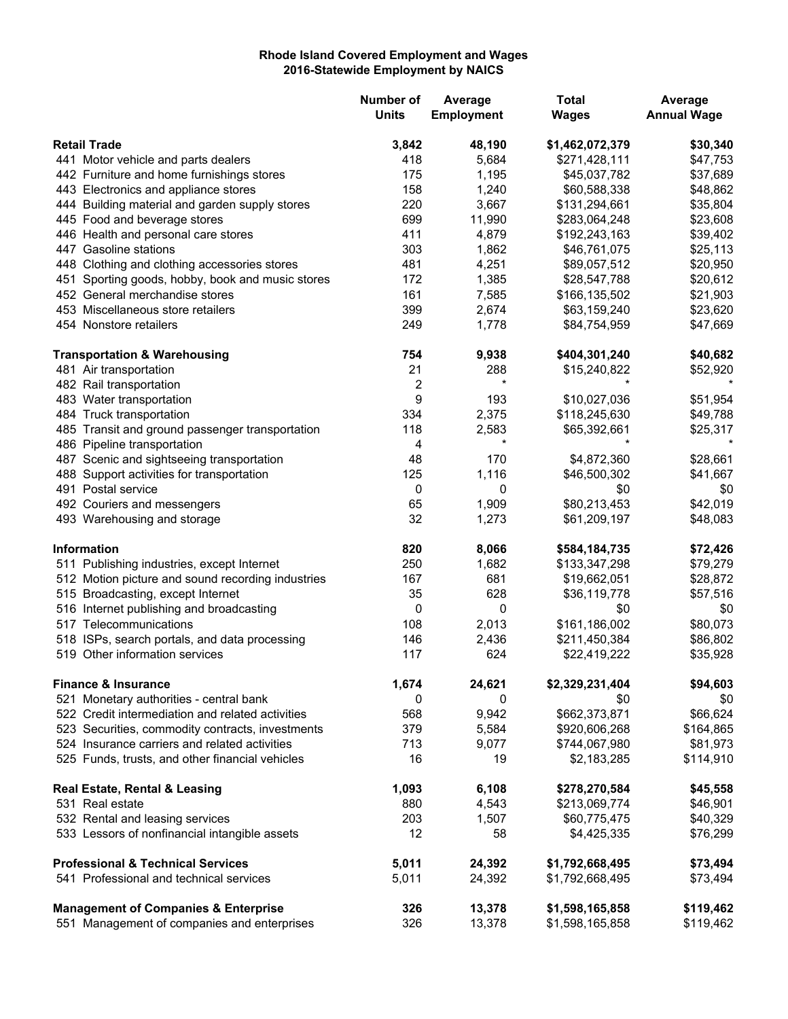## **Rhode Island Covered Employment and Wages 2016-Statewide Employment by NAICS**

|                                                   | <b>Number of</b><br><b>Units</b> | Average<br><b>Employment</b> | <b>Total</b><br><b>Wages</b> | Average<br><b>Annual Wage</b> |
|---------------------------------------------------|----------------------------------|------------------------------|------------------------------|-------------------------------|
| <b>Retail Trade</b>                               | 3,842                            | 48,190                       | \$1,462,072,379              | \$30,340                      |
| 441 Motor vehicle and parts dealers               | 418                              | 5,684                        | \$271,428,111                | \$47,753                      |
| 442 Furniture and home furnishings stores         | 175                              | 1,195                        | \$45,037,782                 | \$37,689                      |
| 443 Electronics and appliance stores              | 158                              | 1,240                        | \$60,588,338                 | \$48,862                      |
| 444 Building material and garden supply stores    | 220                              | 3,667                        | \$131,294,661                | \$35,804                      |
| 445 Food and beverage stores                      | 699                              | 11,990                       | \$283,064,248                | \$23,608                      |
| 446 Health and personal care stores               | 411                              | 4,879                        | \$192,243,163                | \$39,402                      |
| 447 Gasoline stations                             | 303                              | 1,862                        | \$46,761,075                 | \$25,113                      |
| 448 Clothing and clothing accessories stores      | 481                              | 4,251                        | \$89,057,512                 | \$20,950                      |
| 451 Sporting goods, hobby, book and music stores  | 172                              | 1,385                        | \$28,547,788                 | \$20,612                      |
| 452 General merchandise stores                    | 161                              | 7,585                        | \$166,135,502                | \$21,903                      |
| 453 Miscellaneous store retailers                 | 399                              | 2,674                        | \$63,159,240                 | \$23,620                      |
| 454 Nonstore retailers                            | 249                              | 1,778                        | \$84,754,959                 | \$47,669                      |
| <b>Transportation &amp; Warehousing</b>           | 754                              | 9,938                        | \$404,301,240                | \$40,682                      |
| 481 Air transportation                            | 21                               | 288                          | \$15,240,822                 | \$52,920                      |
| 482 Rail transportation                           | $\boldsymbol{2}$                 | $\star$                      |                              |                               |
| 483 Water transportation                          | 9                                | 193                          | \$10,027,036                 | \$51,954                      |
| 484 Truck transportation                          | 334                              | 2,375                        | \$118,245,630                | \$49,788                      |
| 485 Transit and ground passenger transportation   | 118                              | 2,583                        | \$65,392,661                 | \$25,317                      |
| 486 Pipeline transportation                       | 4                                | $^\star$                     |                              |                               |
| 487 Scenic and sightseeing transportation         | 48                               | 170                          | \$4,872,360                  | \$28,661                      |
| 488 Support activities for transportation         | 125                              | 1,116                        | \$46,500,302                 | \$41,667                      |
| 491 Postal service                                | 0                                | 0                            | \$0                          | \$0                           |
| 492 Couriers and messengers                       | 65                               | 1,909                        | \$80,213,453                 | \$42,019                      |
| 493 Warehousing and storage                       | 32                               | 1,273                        | \$61,209,197                 | \$48,083                      |
| <b>Information</b>                                | 820                              | 8,066                        | \$584,184,735                | \$72,426                      |
| 511 Publishing industries, except Internet        | 250                              | 1,682                        | \$133,347,298                | \$79,279                      |
| 512 Motion picture and sound recording industries | 167                              | 681                          | \$19,662,051                 | \$28,872                      |
| 515 Broadcasting, except Internet                 | 35                               | 628                          | \$36,119,778                 | \$57,516                      |
| 516 Internet publishing and broadcasting          | $\boldsymbol{0}$                 | 0                            | \$0                          | \$0                           |
| 517 Telecommunications                            | 108                              | 2,013                        | \$161,186,002                | \$80,073                      |
| 518 ISPs, search portals, and data processing     | 146                              | 2,436                        | \$211,450,384                | \$86,802                      |
| 519 Other information services                    | 117                              | 624                          | \$22,419,222                 | \$35,928                      |
| <b>Finance &amp; Insurance</b>                    | 1,674                            | 24,621                       | \$2,329,231,404              | \$94,603                      |
| 521 Monetary authorities - central bank           | 0                                | 0                            | \$0                          | \$0                           |
| 522 Credit intermediation and related activities  | 568                              | 9,942                        | \$662,373,871                | \$66,624                      |
| 523 Securities, commodity contracts, investments  | 379                              | 5,584                        | \$920,606,268                | \$164,865                     |
| 524 Insurance carriers and related activities     | 713                              | 9,077                        | \$744,067,980                | \$81,973                      |
| 525 Funds, trusts, and other financial vehicles   | 16                               | 19                           | \$2,183,285                  | \$114,910                     |
| Real Estate, Rental & Leasing                     | 1,093                            | 6,108                        | \$278,270,584                | \$45,558                      |
| 531 Real estate                                   | 880                              | 4,543                        | \$213,069,774                | \$46,901                      |
| 532 Rental and leasing services                   | 203                              | 1,507                        | \$60,775,475                 | \$40,329                      |
| 533 Lessors of nonfinancial intangible assets     | 12                               | 58                           | \$4,425,335                  | \$76,299                      |
| <b>Professional &amp; Technical Services</b>      | 5,011                            | 24,392                       | \$1,792,668,495              | \$73,494                      |
| 541 Professional and technical services           | 5,011                            | 24,392                       | \$1,792,668,495              | \$73,494                      |
| <b>Management of Companies &amp; Enterprise</b>   | 326                              | 13,378                       | \$1,598,165,858              | \$119,462                     |
| 551 Management of companies and enterprises       | 326                              | 13,378                       | \$1,598,165,858              | \$119,462                     |